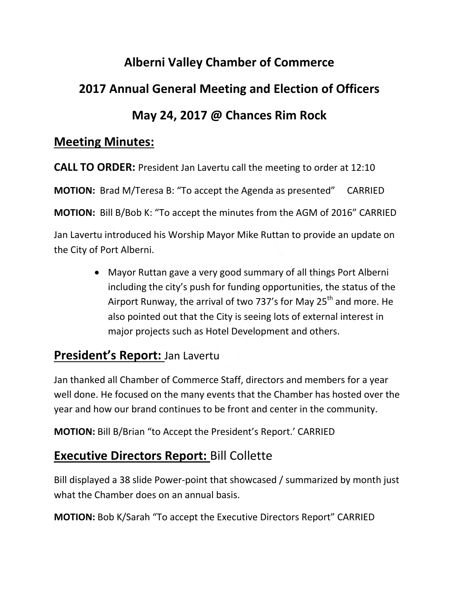# **Alberni Valley Chamber of Commerce 2017 Annual General Meeting and Election of Officers May 24, 2017 @ Chances Rim Rock**

### **Meeting Minutes:**

**CALL TO ORDER:** President Jan Lavertu call the meeting to order at 12:10 **MOTION:** Brad M/Teresa B: "To accept the Agenda as presented" CARRIED **MOTION:** Bill B/Bob K: "To accept the minutes from the AGM of 2016" CARRIED Jan Lavertu introduced his Worship Mayor Mike Ruttan to provide an update on the City of Port Alberni.

> Mayor Ruttan gave a very good summary of all things Port Alberni including the city's push for funding opportunities, the status of the Airport Runway, the arrival of two 737's for May 25<sup>th</sup> and more. He also pointed out that the City is seeing lots of external interest in major projects such as Hotel Development and others.

## **President's Report:** Jan Lavertu

Jan thanked all Chamber of Commerce Staff, directors and members for a year well done. He focused on the many events that the Chamber has hosted over the year and how our brand continues to be front and center in the community.

**MOTION:** Bill B/Brian "to Accept the President's Report.' CARRIED

# **Executive Directors Report:** Bill Collette

Bill displayed a 38 slide Power-point that showcased / summarized by month just what the Chamber does on an annual basis.

**MOTION:** Bob K/Sarah "To accept the Executive Directors Report" CARRIED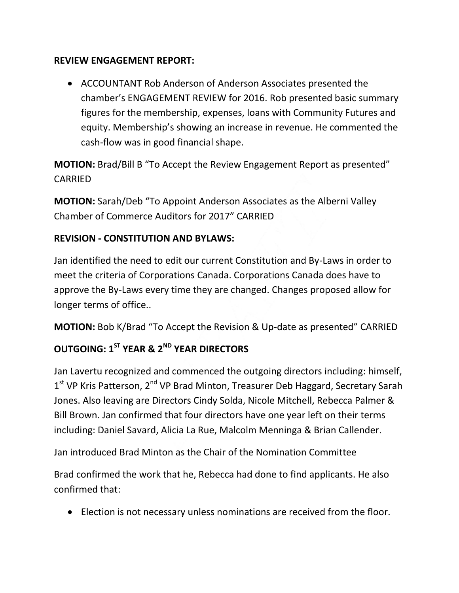#### **REVIEW ENGAGEMENT REPORT:**

 ACCOUNTANT Rob Anderson of Anderson Associates presented the chamber's ENGAGEMENT REVIEW for 2016. Rob presented basic summary figures for the membership, expenses, loans with Community Futures and equity. Membership's showing an increase in revenue. He commented the cash-flow was in good financial shape.

**MOTION:** Brad/Bill B "To Accept the Review Engagement Report as presented" CARRIED

**MOTION:** Sarah/Deb "To Appoint Anderson Associates as the Alberni Valley Chamber of Commerce Auditors for 2017" CARRIED

#### **REVISION - CONSTITUTION AND BYLAWS:**

Jan identified the need to edit our current Constitution and By-Laws in order to meet the criteria of Corporations Canada. Corporations Canada does have to approve the By-Laws every time they are changed. Changes proposed allow for longer terms of office..

**MOTION:** Bob K/Brad "To Accept the Revision & Up-date as presented" CARRIED

## **OUTGOING: 1ST YEAR & 2ND YEAR DIRECTORS**

Jan Lavertu recognized and commenced the outgoing directors including: himself, 1<sup>st</sup> VP Kris Patterson, 2<sup>nd</sup> VP Brad Minton, Treasurer Deb Haggard, Secretary Sarah Jones. Also leaving are Directors Cindy Solda, Nicole Mitchell, Rebecca Palmer & Bill Brown. Jan confirmed that four directors have one year left on their terms including: Daniel Savard, Alicia La Rue, Malcolm Menninga & Brian Callender.

Jan introduced Brad Minton as the Chair of the Nomination Committee

Brad confirmed the work that he, Rebecca had done to find applicants. He also confirmed that:

Election is not necessary unless nominations are received from the floor.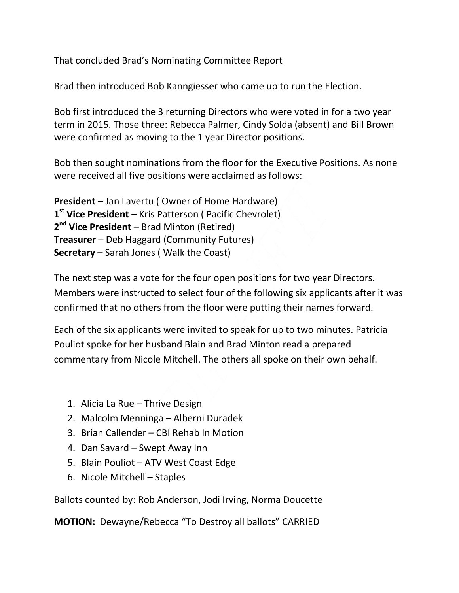That concluded Brad's Nominating Committee Report

Brad then introduced Bob Kanngiesser who came up to run the Election.

Bob first introduced the 3 returning Directors who were voted in for a two year term in 2015. Those three: Rebecca Palmer, Cindy Solda (absent) and Bill Brown were confirmed as moving to the 1 year Director positions.

Bob then sought nominations from the floor for the Executive Positions. As none were received all five positions were acclaimed as follows:

**President** – Jan Lavertu ( Owner of Home Hardware) **1 st Vice President** – Kris Patterson ( Pacific Chevrolet) **2 nd Vice President** – Brad Minton (Retired) **Treasurer** – Deb Haggard (Community Futures) **Secretary –** Sarah Jones ( Walk the Coast)

The next step was a vote for the four open positions for two year Directors. Members were instructed to select four of the following six applicants after it was confirmed that no others from the floor were putting their names forward.

Each of the six applicants were invited to speak for up to two minutes. Patricia Pouliot spoke for her husband Blain and Brad Minton read a prepared commentary from Nicole Mitchell. The others all spoke on their own behalf.

- 1. Alicia La Rue Thrive Design
- 2. Malcolm Menninga Alberni Duradek
- 3. Brian Callender CBI Rehab In Motion
- 4. Dan Savard Swept Away Inn
- 5. Blain Pouliot ATV West Coast Edge
- 6. Nicole Mitchell Staples

Ballots counted by: Rob Anderson, Jodi Irving, Norma Doucette

**MOTION:** Dewayne/Rebecca "To Destroy all ballots" CARRIED